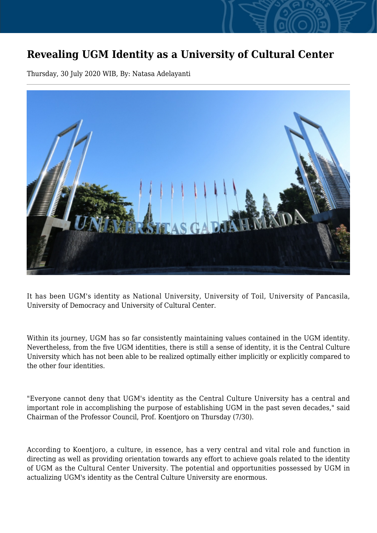## **Revealing UGM Identity as a University of Cultural Center**

Thursday, 30 July 2020 WIB, By: Natasa Adelayanti



It has been UGM's identity as National University, University of Toil, University of Pancasila, University of Democracy and University of Cultural Center.

Within its journey, UGM has so far consistently maintaining values contained in the UGM identity. Nevertheless, from the five UGM identities, there is still a sense of identity, it is the Central Culture University which has not been able to be realized optimally either implicitly or explicitly compared to the other four identities.

"Everyone cannot deny that UGM's identity as the Central Culture University has a central and important role in accomplishing the purpose of establishing UGM in the past seven decades," said Chairman of the Professor Council, Prof. Koentjoro on Thursday (7/30).

According to Koentjoro, a culture, in essence, has a very central and vital role and function in directing as well as providing orientation towards any effort to achieve goals related to the identity of UGM as the Cultural Center University. The potential and opportunities possessed by UGM in actualizing UGM's identity as the Central Culture University are enormous.